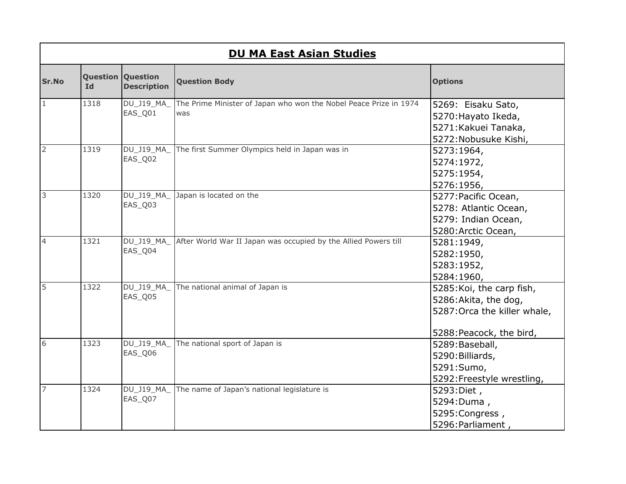|                | <b>DU MA East Asian Studies</b> |                                                |                                                                          |                              |  |
|----------------|---------------------------------|------------------------------------------------|--------------------------------------------------------------------------|------------------------------|--|
| <b>Sr.No</b>   | <b>Id</b>                       | <b>Question Question</b><br><b>Description</b> | <b>Question Body</b>                                                     | <b>Options</b>               |  |
| $\mathbf{1}$   | 1318                            | DU_J19_MA_<br>EAS_Q01                          | The Prime Minister of Japan who won the Nobel Peace Prize in 1974<br>was | 5269: Eisaku Sato,           |  |
|                |                                 |                                                |                                                                          | 5270: Hayato Ikeda,          |  |
|                |                                 |                                                |                                                                          | 5271: Kakuei Tanaka,         |  |
|                |                                 |                                                |                                                                          | 5272: Nobusuke Kishi,        |  |
| $\overline{2}$ | 1319                            | DU_J19_MA_                                     | The first Summer Olympics held in Japan was in                           | 5273:1964,                   |  |
|                |                                 | EAS_Q02                                        |                                                                          | 5274:1972,                   |  |
|                |                                 |                                                |                                                                          | 5275:1954,                   |  |
|                |                                 |                                                |                                                                          | 5276:1956,                   |  |
| m              | 1320                            | DU_J19_MA_                                     | Japan is located on the                                                  | 5277: Pacific Ocean,         |  |
|                |                                 | EAS_Q03                                        |                                                                          | 5278: Atlantic Ocean,        |  |
|                |                                 |                                                |                                                                          | 5279: Indian Ocean,          |  |
|                |                                 |                                                |                                                                          | 5280: Arctic Ocean,          |  |
| $\overline{4}$ | 1321                            | DU_J19_MA_                                     | After World War II Japan was occupied by the Allied Powers till          | 5281:1949,                   |  |
|                |                                 | EAS_Q04                                        |                                                                          | 5282:1950,                   |  |
|                |                                 |                                                |                                                                          | 5283:1952,                   |  |
|                |                                 |                                                |                                                                          | 5284:1960,                   |  |
| 5              | 1322                            | DU_J19_MA_                                     | The national animal of Japan is                                          | 5285: Koi, the carp fish,    |  |
|                |                                 | EAS_Q05                                        |                                                                          | 5286: Akita, the dog,        |  |
|                |                                 |                                                |                                                                          | 5287: Orca the killer whale, |  |
|                |                                 |                                                |                                                                          | 5288: Peacock, the bird,     |  |
| 6              | 1323                            | DU_J19_MA_                                     | The national sport of Japan is                                           | 5289: Baseball,              |  |
|                |                                 | EAS_Q06                                        |                                                                          | 5290: Billiards,             |  |
|                |                                 |                                                |                                                                          | 5291:Sumo,                   |  |
|                |                                 |                                                |                                                                          | 5292: Freestyle wrestling,   |  |
| $\overline{7}$ | 1324                            |                                                | DU_J19_MA_ The name of Japan's national legislature is                   | 5293: Diet,                  |  |
|                |                                 | EAS_Q07                                        |                                                                          | 5294: Duma,                  |  |
|                |                                 |                                                |                                                                          | 5295: Congress,              |  |
|                |                                 |                                                |                                                                          | 5296: Parliament,            |  |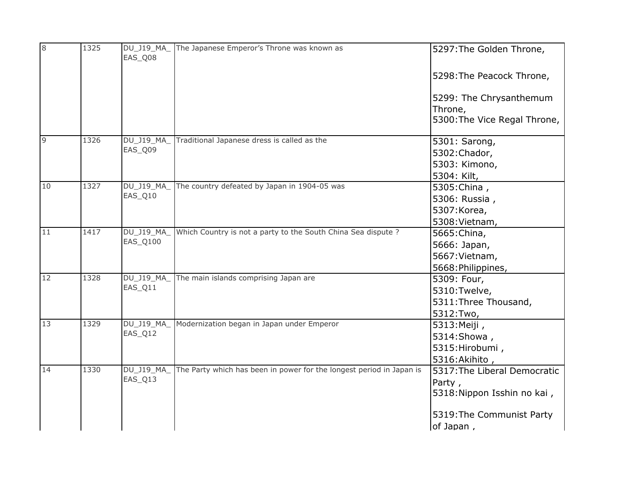| 8  | 1325 | DU_J19_MA_<br>EAS_Q08 | The Japanese Emperor's Throne was known as                           | 5297: The Golden Throne,               |
|----|------|-----------------------|----------------------------------------------------------------------|----------------------------------------|
|    |      |                       |                                                                      | 5298: The Peacock Throne,              |
|    |      |                       |                                                                      | 5299: The Chrysanthemum                |
|    |      |                       |                                                                      | Throne,                                |
|    |      |                       |                                                                      | 5300: The Vice Regal Throne,           |
| 9  | 1326 | <b>DU J19 MA</b>      | Traditional Japanese dress is called as the                          | 5301: Sarong,                          |
|    |      | EAS_Q09               |                                                                      | 5302: Chador,                          |
|    |      |                       |                                                                      | 5303: Kimono,                          |
|    |      |                       |                                                                      | 5304: Kilt,                            |
| 10 | 1327 | DU_J19_MA_            | The country defeated by Japan in 1904-05 was                         | 5305: China,                           |
|    |      | EAS_Q10               |                                                                      | 5306: Russia,                          |
|    |      |                       |                                                                      | 5307: Korea,                           |
|    |      |                       |                                                                      | 5308: Vietnam,                         |
| 11 | 1417 | DU_J19_MA_            | Which Country is not a party to the South China Sea dispute ?        | 5665: China,                           |
|    |      | EAS_Q100              |                                                                      | 5666: Japan,                           |
|    |      |                       |                                                                      | 5667: Vietnam,                         |
|    |      |                       |                                                                      | 5668: Philippines,                     |
| 12 | 1328 | DU_J19_MA_            | The main islands comprising Japan are                                | 5309: Four,                            |
|    |      | EAS_Q11               |                                                                      | 5310:Twelve,                           |
|    |      |                       |                                                                      | 5311: Three Thousand,                  |
|    |      |                       |                                                                      | 5312:Two,                              |
| 13 | 1329 | DU_J19_MA_            | Modernization began in Japan under Emperor                           | 5313: Meiji,                           |
|    |      | EAS_Q12               |                                                                      | 5314: Showa,                           |
|    |      |                       |                                                                      | 5315: Hirobumi,                        |
|    |      |                       |                                                                      | 5316: Akihito,                         |
| 14 | 1330 | DU_J19_MA_            | The Party which has been in power for the longest period in Japan is | 5317: The Liberal Democratic           |
|    |      | EAS_Q13               |                                                                      | Party,<br>5318: Nippon Isshin no kai,  |
|    |      |                       |                                                                      | 5319: The Communist Party<br>of Japan, |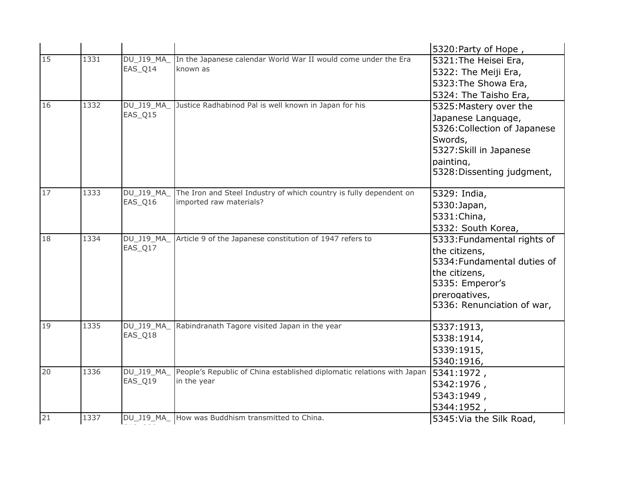|    |      |                  |                                                                        | 5320: Party of Hope,         |
|----|------|------------------|------------------------------------------------------------------------|------------------------------|
| 15 | 1331 | DU_J19_MA_       | In the Japanese calendar World War II would come under the Era         | 5321: The Heisei Era,        |
|    |      | EAS_Q14          | known as                                                               | 5322: The Meiji Era,         |
|    |      |                  |                                                                        | 5323: The Showa Era,         |
|    |      |                  |                                                                        | 5324: The Taisho Era,        |
| 16 | 1332 | DU_J19_MA_       | Justice Radhabinod Pal is well known in Japan for his                  | 5325: Mastery over the       |
|    |      | EAS_Q15          |                                                                        | Japanese Language,           |
|    |      |                  |                                                                        | 5326: Collection of Japanese |
|    |      |                  |                                                                        | Swords,                      |
|    |      |                  |                                                                        | 5327: Skill in Japanese      |
|    |      |                  |                                                                        | painting,                    |
|    |      |                  |                                                                        | 5328: Dissenting judgment,   |
| 17 | 1333 | DU_J19_MA_       | The Iron and Steel Industry of which country is fully dependent on     | 5329: India,                 |
|    |      | EAS_Q16          | imported raw materials?                                                | 5330: Japan,                 |
|    |      |                  |                                                                        | 5331: China,                 |
|    |      |                  |                                                                        | 5332: South Korea,           |
| 18 | 1334 | DU_J19_MA_       | Article 9 of the Japanese constitution of 1947 refers to               | 5333: Fundamental rights of  |
|    |      | EAS_Q17          |                                                                        | the citizens,                |
|    |      |                  |                                                                        | 5334: Fundamental duties of  |
|    |      |                  |                                                                        | the citizens,                |
|    |      |                  |                                                                        | 5335: Emperor's              |
|    |      |                  |                                                                        | prerogatives,                |
|    |      |                  |                                                                        | 5336: Renunciation of war,   |
| 19 | 1335 | DU_J19_MA_       | Rabindranath Tagore visited Japan in the year                          | 5337:1913,                   |
|    |      | EAS_Q18          |                                                                        | 5338:1914,                   |
|    |      |                  |                                                                        | 5339:1915,                   |
|    |      |                  |                                                                        | 5340:1916,                   |
| 20 | 1336 | <b>DU J19 MA</b> | People's Republic of China established diplomatic relations with Japan | 5341:1972,                   |
|    |      | EAS_Q19          | in the year                                                            | 5342:1976,                   |
|    |      |                  |                                                                        | 5343:1949,                   |
|    |      |                  |                                                                        | 5344:1952,                   |
| 21 | 1337 |                  | DU_J19_MA_ How was Buddhism transmitted to China.                      | 5345: Via the Silk Road,     |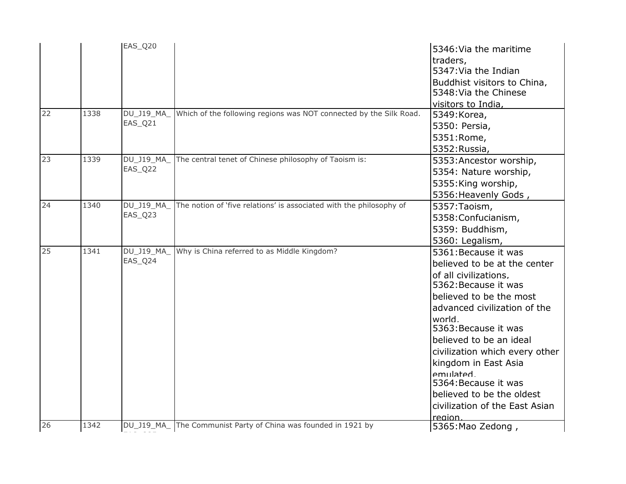| 22 | 1338 | EAS_Q20<br>DU_J19_MA_ | Which of the following regions was NOT connected by the Silk Road.  | 5346: Via the maritime<br>traders,<br>5347: Via the Indian<br>Buddhist visitors to China,<br>5348: Via the Chinese<br>visitors to India,<br>5349: Korea,                                                                                                                                                                                                                                              |
|----|------|-----------------------|---------------------------------------------------------------------|-------------------------------------------------------------------------------------------------------------------------------------------------------------------------------------------------------------------------------------------------------------------------------------------------------------------------------------------------------------------------------------------------------|
|    |      | EAS_Q21               |                                                                     | 5350: Persia,<br>5351:Rome,<br>5352: Russia,                                                                                                                                                                                                                                                                                                                                                          |
| 23 | 1339 | DU J19 MA<br>EAS_Q22  | The central tenet of Chinese philosophy of Taoism is:               | 5353: Ancestor worship,<br>5354: Nature worship,<br>5355: King worship,<br>5356: Heavenly Gods,                                                                                                                                                                                                                                                                                                       |
| 24 | 1340 | DU_J19_MA_<br>EAS_Q23 | The notion of 'five relations' is associated with the philosophy of | 5357: Taoism,<br>5358: Confucianism,<br>5359: Buddhism,<br>5360: Legalism,                                                                                                                                                                                                                                                                                                                            |
| 25 | 1341 | DU_J19_MA_<br>EAS_Q24 | Why is China referred to as Middle Kingdom?                         | 5361: Because it was<br>believed to be at the center<br>of all civilizations,<br>5362: Because it was<br>believed to be the most<br>advanced civilization of the<br>world.<br>5363: Because it was<br>believed to be an ideal<br>civilization which every other<br>kingdom in East Asia<br>emulated<br>5364: Because it was<br>believed to be the oldest<br>civilization of the East Asian<br>region. |
| 26 | 1342 | DU_J19_MA_            | The Communist Party of China was founded in 1921 by                 | 5365: Mao Zedong,                                                                                                                                                                                                                                                                                                                                                                                     |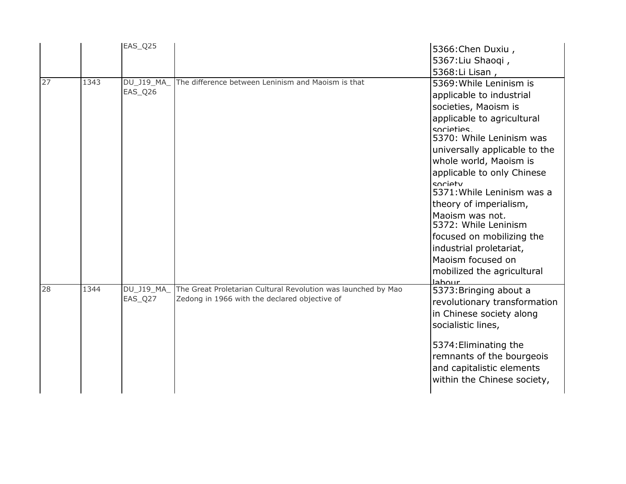|    |      | EAS_Q25               |                                                                                                                | 5366: Chen Duxiu,<br>5367: Liu Shaoqi,<br>5368: Li Lisan,                                                                                                                                                                                                                                                                                                                                                                                                                       |
|----|------|-----------------------|----------------------------------------------------------------------------------------------------------------|---------------------------------------------------------------------------------------------------------------------------------------------------------------------------------------------------------------------------------------------------------------------------------------------------------------------------------------------------------------------------------------------------------------------------------------------------------------------------------|
| 27 | 1343 | DU_J19_MA_<br>EAS_Q26 | The difference between Leninism and Maoism is that                                                             | 5369: While Leninism is<br>applicable to industrial<br>societies, Maoism is<br>applicable to agricultural<br>sorieties<br>5370: While Leninism was<br>universally applicable to the<br>whole world, Maoism is<br>applicable to only Chinese<br>society<br>5371: While Leninism was a<br>theory of imperialism,<br>Maoism was not.<br>5372: While Leninism<br>focused on mobilizing the<br>industrial proletariat,<br>Maoism focused on<br>mobilized the agricultural<br>عيبمطحا |
| 28 | 1344 | DU_J19_MA<br>EAS_Q27  | The Great Proletarian Cultural Revolution was launched by Mao<br>Zedong in 1966 with the declared objective of | 5373: Bringing about a<br>revolutionary transformation<br>in Chinese society along<br>socialistic lines,<br>5374: Eliminating the<br>remnants of the bourgeois<br>and capitalistic elements<br>within the Chinese society,                                                                                                                                                                                                                                                      |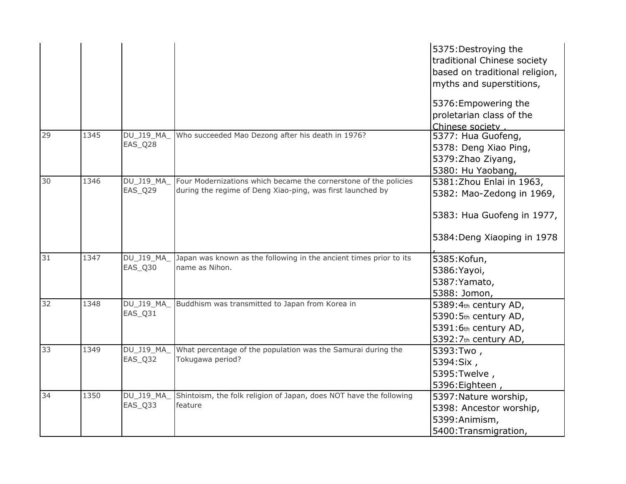|    |      |                       |                                                                                                                                | 5375: Destroying the<br>traditional Chinese society<br>based on traditional religion,<br>myths and superstitions,   |
|----|------|-----------------------|--------------------------------------------------------------------------------------------------------------------------------|---------------------------------------------------------------------------------------------------------------------|
|    |      |                       |                                                                                                                                | 5376: Empowering the<br>proletarian class of the<br>Chinese society,                                                |
| 29 | 1345 | DU_J19_MA_<br>EAS_Q28 | Who succeeded Mao Dezong after his death in 1976?                                                                              | 5377: Hua Guofeng,<br>5378: Deng Xiao Ping,<br>5379: Zhao Ziyang,<br>5380: Hu Yaobang,                              |
| 30 | 1346 | DU_J19_MA<br>EAS_Q29  | Four Modernizations which became the cornerstone of the policies<br>during the regime of Deng Xiao-ping, was first launched by | 5381: Zhou Enlai in 1963,<br>5382: Mao-Zedong in 1969,<br>5383: Hua Guofeng in 1977,<br>5384: Deng Xiaoping in 1978 |
| 31 | 1347 | DU_J19_MA_<br>EAS_Q30 | Japan was known as the following in the ancient times prior to its<br>name as Nihon.                                           | 5385: Kofun,<br>5386: Yayoi,<br>5387: Yamato,<br>5388: Jomon,                                                       |
| 32 | 1348 | DU_J19_MA_<br>EAS_Q31 | Buddhism was transmitted to Japan from Korea in                                                                                | 5389:4th century AD,<br>5390:5th century AD,<br>5391:6th century AD,<br>5392:7th century AD,                        |
| 33 | 1349 | DU_J19_MA_<br>EAS_Q32 | What percentage of the population was the Samurai during the<br>Tokugawa period?                                               | 5393:Two,<br>5394:Six,<br>5395: Twelve,<br>5396: Eighteen,                                                          |
| 34 | 1350 | DU_J19_MA_<br>EAS_Q33 | Shintoism, the folk religion of Japan, does NOT have the following<br>feature                                                  | 5397: Nature worship,<br>5398: Ancestor worship,<br>5399: Animism,<br>5400: Transmigration,                         |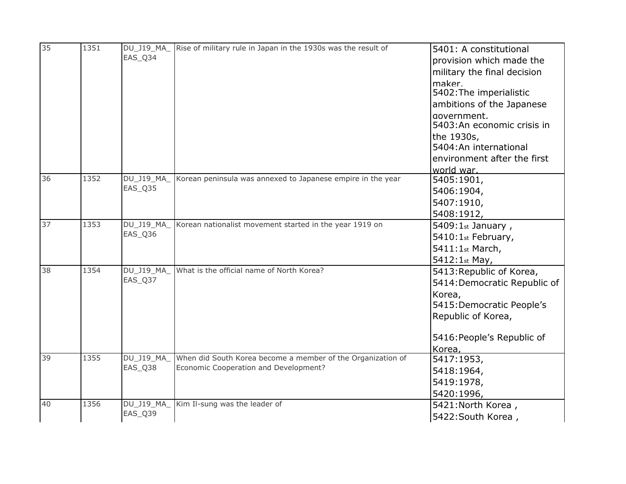| 35 | 1351 | DU_J19_MA_            | Rise of military rule in Japan in the 1930s was the result of | 5401: A constitutional          |
|----|------|-----------------------|---------------------------------------------------------------|---------------------------------|
|    |      | EAS_Q34               |                                                               | provision which made the        |
|    |      |                       |                                                               | military the final decision     |
|    |      |                       |                                                               | maker.                          |
|    |      |                       |                                                               | 5402: The imperialistic         |
|    |      |                       |                                                               | ambitions of the Japanese       |
|    |      |                       |                                                               | government,                     |
|    |      |                       |                                                               | 5403:An economic crisis in      |
|    |      |                       |                                                               | the 1930s,                      |
|    |      |                       |                                                               | 5404:An international           |
|    |      |                       |                                                               | environment after the first     |
|    |      |                       |                                                               | world war.                      |
| 36 | 1352 | DU_J19_MA_<br>EAS_Q35 | Korean peninsula was annexed to Japanese empire in the year   | 5405:1901,                      |
|    |      |                       |                                                               | 5406:1904,                      |
|    |      |                       |                                                               | 5407:1910,                      |
|    |      |                       |                                                               | 5408:1912,                      |
| 37 | 1353 | DU_J19_MA_            | Korean nationalist movement started in the year 1919 on       | $5409:1$ <sub>st</sub> January, |
|    |      | EAS_Q36               |                                                               | 5410:1st February,              |
|    |      |                       |                                                               | 5411:1st March,                 |
|    |      |                       |                                                               | 5412:1st May,                   |
| 38 | 1354 | DU_J19_MA_            | What is the official name of North Korea?                     | 5413: Republic of Korea,        |
|    |      | EAS_Q37               |                                                               | 5414: Democratic Republic of    |
|    |      |                       |                                                               | Korea,                          |
|    |      |                       |                                                               | 5415: Democratic People's       |
|    |      |                       |                                                               | Republic of Korea,              |
|    |      |                       |                                                               | 5416: People's Republic of      |
|    |      |                       |                                                               | Korea,                          |
| 39 | 1355 | DU_J19_MA_            | When did South Korea become a member of the Organization of   | 5417:1953,                      |
|    |      | EAS Q38               | Economic Cooperation and Development?                         | 5418:1964,                      |
|    |      |                       |                                                               | 5419:1978,                      |
|    |      |                       |                                                               | 5420:1996,                      |
| 40 | 1356 | DU_J19_MA_            | Kim Il-sung was the leader of                                 | 5421: North Korea,              |
|    |      | EAS_Q39               |                                                               | 5422: South Korea,              |
|    |      |                       |                                                               |                                 |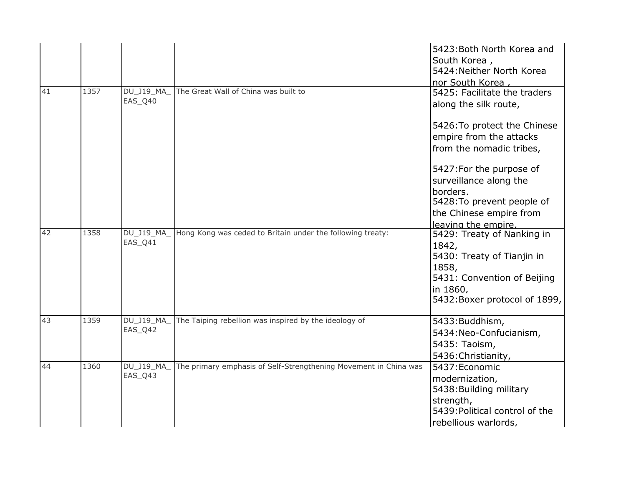|    |      |                             |                                                                  | 5423: Both North Korea and<br>South Korea,<br>5424: Neither North Korea<br>nor South Korea,                                                            |
|----|------|-----------------------------|------------------------------------------------------------------|--------------------------------------------------------------------------------------------------------------------------------------------------------|
| 41 | 1357 | DU_J19_MA_<br>EAS Q40       | The Great Wall of China was built to                             | 5425: Facilitate the traders<br>along the silk route,                                                                                                  |
|    |      |                             |                                                                  | 5426: To protect the Chinese<br>empire from the attacks<br>from the nomadic tribes,                                                                    |
|    |      |                             |                                                                  | 5427: For the purpose of<br>surveillance along the<br>borders.<br>5428: To prevent people of<br>the Chinese empire from<br>leaving the empire.         |
| 42 | 1358 | DU_J19_MA_<br>EAS_Q41       | Hong Kong was ceded to Britain under the following treaty:       | 5429: Treaty of Nanking in<br>1842,<br>5430: Treaty of Tianjin in<br>1858,<br>5431: Convention of Beijing<br>in 1860,<br>5432: Boxer protocol of 1899, |
| 43 | 1359 | <b>DU J19 MA</b><br>EAS_Q42 | The Taiping rebellion was inspired by the ideology of            | 5433: Buddhism,<br>5434: Neo-Confucianism,<br>5435: Taoism,<br>5436: Christianity,                                                                     |
| 44 | 1360 | DU_J19_MA_<br>EAS_Q43       | The primary emphasis of Self-Strengthening Movement in China was | 5437: Economic<br>modernization,<br>5438: Building military<br>strength,<br>5439: Political control of the<br>rebellious warlords,                     |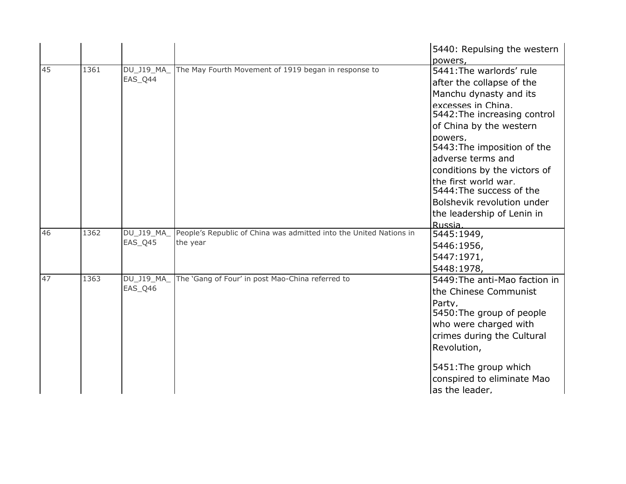|    |      |                             |                                                                    | 5440: Repulsing the western                                 |
|----|------|-----------------------------|--------------------------------------------------------------------|-------------------------------------------------------------|
| 45 | 1361 | <b>DU J19 MA</b>            | The May Fourth Movement of 1919 began in response to               | powers,                                                     |
|    |      | EAS Q44                     |                                                                    | 5441: The warlords' rule                                    |
|    |      |                             |                                                                    | after the collapse of the                                   |
|    |      |                             |                                                                    | Manchu dynasty and its                                      |
|    |      |                             |                                                                    | excesses in China.<br>5442: The increasing control          |
|    |      |                             |                                                                    | of China by the western                                     |
|    |      |                             |                                                                    | powers,<br>5443: The imposition of the<br>adverse terms and |
|    |      |                             |                                                                    | conditions by the victors of                                |
|    |      |                             |                                                                    | the first world war.<br>5444: The success of the            |
|    |      |                             |                                                                    | Bolshevik revolution under                                  |
|    |      |                             |                                                                    | the leadership of Lenin in                                  |
|    |      |                             |                                                                    | Russia.                                                     |
| 46 | 1362 | DU J19 MA                   | People's Republic of China was admitted into the United Nations in | 5445:1949,                                                  |
|    |      | EAS_Q45                     | the year                                                           | 5446:1956,                                                  |
|    |      |                             |                                                                    | 5447:1971,                                                  |
|    |      |                             |                                                                    | 5448:1978,                                                  |
| 47 | 1363 | <b>DU J19 MA</b><br>EAS_Q46 | The 'Gang of Four' in post Mao-China referred to                   | 5449: The anti-Mao faction in<br>the Chinese Communist      |
|    |      |                             |                                                                    | Party,                                                      |
|    |      |                             |                                                                    | 5450: The group of people                                   |
|    |      |                             |                                                                    | who were charged with                                       |
|    |      |                             |                                                                    | crimes during the Cultural                                  |
|    |      |                             |                                                                    | Revolution,                                                 |
|    |      |                             |                                                                    | 5451: The group which                                       |
|    |      |                             |                                                                    | conspired to eliminate Mao                                  |
|    |      |                             |                                                                    | as the leader.                                              |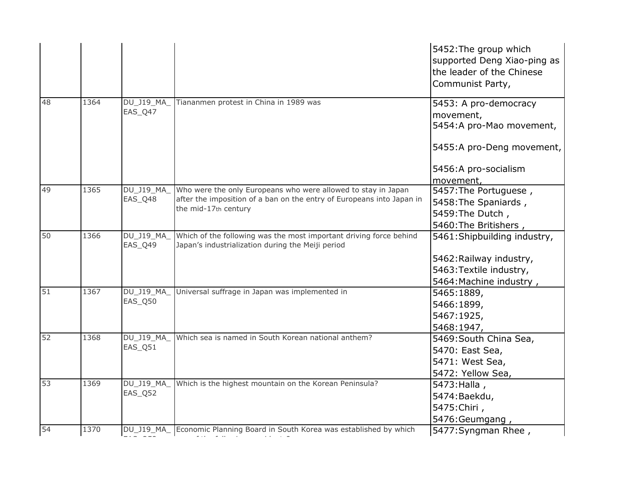|    |      |                       |                                                                                                                         | 5452: The group which<br>supported Deng Xiao-ping as<br>the leader of the Chinese<br>Communist Party, |
|----|------|-----------------------|-------------------------------------------------------------------------------------------------------------------------|-------------------------------------------------------------------------------------------------------|
| 48 | 1364 | DU_J19_MA_<br>EAS_Q47 | Tiananmen protest in China in 1989 was                                                                                  | 5453: A pro-democracy<br>movement,<br>5454:A pro-Mao movement,                                        |
|    |      |                       |                                                                                                                         | 5455:A pro-Deng movement,                                                                             |
|    |      |                       |                                                                                                                         | 5456:A pro-socialism<br>movement,                                                                     |
| 49 | 1365 | DU_J19_MA_            | Who were the only Europeans who were allowed to stay in Japan                                                           | 5457: The Portuguese,                                                                                 |
|    |      | EAS_Q48               | after the imposition of a ban on the entry of Europeans into Japan in<br>the mid-17th century                           | 5458: The Spaniards,                                                                                  |
|    |      |                       |                                                                                                                         | 5459: The Dutch,                                                                                      |
|    |      |                       |                                                                                                                         | 5460: The Britishers,                                                                                 |
| 50 | 1366 | DU_J19_MA_<br>EAS Q49 | Which of the following was the most important driving force behind<br>Japan's industrialization during the Meiji period | 5461: Shipbuilding industry,                                                                          |
|    |      |                       |                                                                                                                         | 5462: Railway industry,                                                                               |
|    |      |                       |                                                                                                                         | 5463: Textile industry,                                                                               |
|    |      |                       |                                                                                                                         | 5464: Machine industry,                                                                               |
| 51 | 1367 | DU_J19_MA_            | Universal suffrage in Japan was implemented in                                                                          | 5465:1889,                                                                                            |
|    |      | EAS_Q50               |                                                                                                                         | 5466:1899,                                                                                            |
|    |      |                       |                                                                                                                         | 5467:1925,                                                                                            |
|    |      |                       |                                                                                                                         | 5468:1947,                                                                                            |
| 52 | 1368 | DU_J19_MA_            | Which sea is named in South Korean national anthem?                                                                     | 5469: South China Sea,                                                                                |
|    |      | EAS_Q51               |                                                                                                                         | 5470: East Sea,                                                                                       |
|    |      |                       |                                                                                                                         | 5471: West Sea,                                                                                       |
|    |      |                       |                                                                                                                         | 5472: Yellow Sea,                                                                                     |
| 53 | 1369 | DU_J19_MA_            | Which is the highest mountain on the Korean Peninsula?                                                                  | 5473: Halla,                                                                                          |
|    |      | EAS_Q52               |                                                                                                                         | 5474: Baekdu,                                                                                         |
|    |      |                       |                                                                                                                         | 5475: Chiri,                                                                                          |
|    |      |                       |                                                                                                                         | 5476: Geumgang,                                                                                       |
| 54 | 1370 |                       | DU_J19_MA_ Economic Planning Board in South Korea was established by which                                              | 5477: Syngman Rhee,                                                                                   |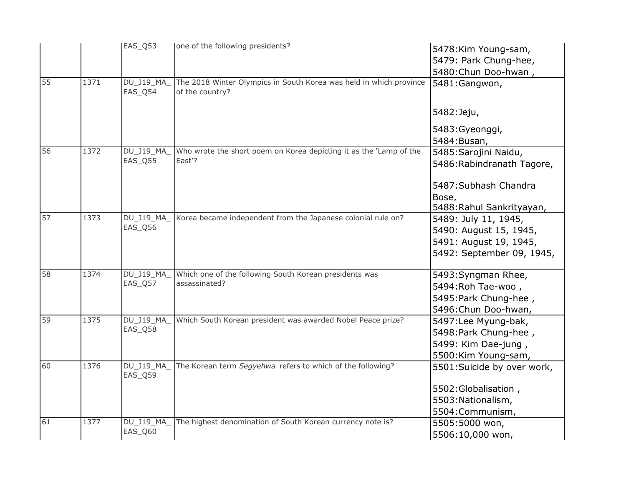|    |      | EAS_Q53               | one of the following presidents?                                                      | 5478: Kim Young-sam,<br>5479: Park Chung-hee,                                                         |
|----|------|-----------------------|---------------------------------------------------------------------------------------|-------------------------------------------------------------------------------------------------------|
|    |      |                       |                                                                                       | 5480: Chun Doo-hwan,                                                                                  |
| 55 | 1371 | DU_J19_MA<br>EAS_Q54  | The 2018 Winter Olympics in South Korea was held in which province<br>of the country? | 5481:Gangwon,                                                                                         |
|    |      |                       |                                                                                       | 5482: Jeju,                                                                                           |
|    |      |                       |                                                                                       | 5483: Gyeonggi,                                                                                       |
|    |      |                       |                                                                                       | 5484: Busan,                                                                                          |
| 56 | 1372 | DU J19_MA_<br>EAS_Q55 | Who wrote the short poem on Korea depicting it as the 'Lamp of the<br>East'?          | 5485: Sarojini Naidu,<br>5486: Rabindranath Tagore,                                                   |
|    |      |                       |                                                                                       | 5487: Subhash Chandra<br>Bose,<br>5488: Rahul Sankrityayan,                                           |
| 57 | 1373 | DU_J19_MA_<br>EAS_Q56 | Korea became independent from the Japanese colonial rule on?                          | 5489: July 11, 1945,<br>5490: August 15, 1945,<br>5491: August 19, 1945,<br>5492: September 09, 1945, |
| 58 | 1374 | DU_J19_MA_<br>EAS_Q57 | Which one of the following South Korean presidents was<br>assassinated?               | 5493: Syngman Rhee,<br>5494: Roh Tae-woo,<br>5495: Park Chung-hee,<br>5496: Chun Doo-hwan,            |
| 59 | 1375 | DU_J19_MA_<br>EAS_Q58 | Which South Korean president was awarded Nobel Peace prize?                           | 5497:Lee Myung-bak,<br>5498: Park Chung-hee,<br>5499: Kim Dae-jung,<br>5500:Kim Young-sam,            |
| 60 | 1376 | DU_J19_MA_<br>EAS_Q59 | The Korean term Segyehwa refers to which of the following?                            | 5501:Suicide by over work,<br>5502: Globalisation,                                                    |
|    |      |                       |                                                                                       | 5503: Nationalism,<br>5504: Communism,                                                                |
| 61 | 1377 | DU_J19_MA_            | The highest denomination of South Korean currency note is?                            | 5505:5000 won,                                                                                        |
|    |      | EAS_Q60               |                                                                                       | 5506:10,000 won,                                                                                      |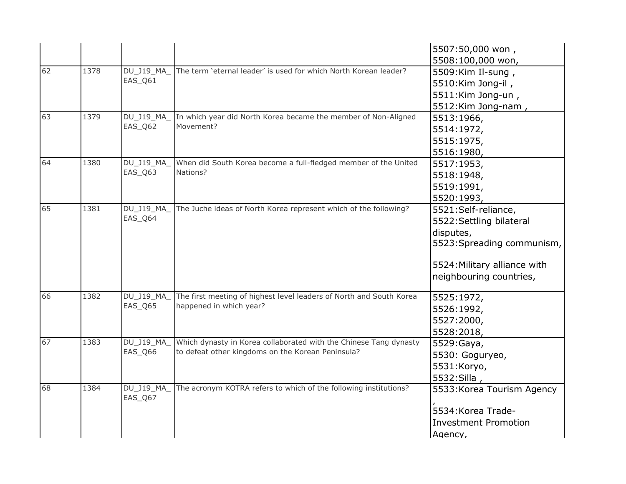|    |      |                   |                                                                     | 5507:50,000 won,             |
|----|------|-------------------|---------------------------------------------------------------------|------------------------------|
|    |      |                   |                                                                     | 5508:100,000 won,            |
| 62 | 1378 | $DU_$ J19_MA_     | The term 'eternal leader' is used for which North Korean leader?    | 5509:Kim Il-sung,            |
|    |      | EAS_Q61           |                                                                     | 5510:Kim Jong-il,            |
|    |      |                   |                                                                     | 5511:Kim Jong-un,            |
|    |      |                   |                                                                     | 5512:Kim Jong-nam,           |
| 63 | 1379 | DU_J19_MA_        | In which year did North Korea became the member of Non-Aligned      | 5513:1966,                   |
|    |      | EAS_Q62           | Movement?                                                           | 5514:1972,                   |
|    |      |                   |                                                                     | 5515:1975,                   |
|    |      |                   |                                                                     | 5516:1980,                   |
| 64 | 1380 | DU_J19_MA_        | When did South Korea become a full-fledged member of the United     | 5517:1953,                   |
|    |      | EAS_Q63           | Nations?                                                            | 5518:1948,                   |
|    |      |                   |                                                                     | 5519:1991,                   |
|    |      |                   |                                                                     | 5520:1993,                   |
| 65 | 1381 | DU_J19_MA_        | The Juche ideas of North Korea represent which of the following?    | 5521:Self-reliance,          |
|    |      | EAS_Q64           |                                                                     | 5522: Settling bilateral     |
|    |      |                   |                                                                     | disputes,                    |
|    |      |                   |                                                                     | 5523: Spreading communism,   |
|    |      |                   |                                                                     | 5524: Military alliance with |
|    |      |                   |                                                                     | neighbouring countries,      |
| 66 | 1382 | <b>DU_J19_MA_</b> | The first meeting of highest level leaders of North and South Korea | 5525:1972,                   |
|    |      | EAS_Q65           | happened in which year?                                             | 5526:1992,                   |
|    |      |                   |                                                                     | 5527:2000,                   |
|    |      |                   |                                                                     | 5528:2018,                   |
| 67 | 1383 | DU_J19_MA_        | Which dynasty in Korea collaborated with the Chinese Tang dynasty   | 5529: Gaya,                  |
|    |      | EAS_Q66           | to defeat other kingdoms on the Korean Peninsula?                   | 5530: Goguryeo,              |
|    |      |                   |                                                                     | 5531:Koryo,                  |
|    |      |                   |                                                                     | 5532: Silla,                 |
| 68 | 1384 | $DU_$ J19_MA_     | The acronym KOTRA refers to which of the following institutions?    | 5533: Korea Tourism Agency   |
|    |      | EAS_Q67           |                                                                     |                              |
|    |      |                   |                                                                     | 5534: Korea Trade-           |
|    |      |                   |                                                                     | <b>Investment Promotion</b>  |
|    |      |                   |                                                                     | Agency,                      |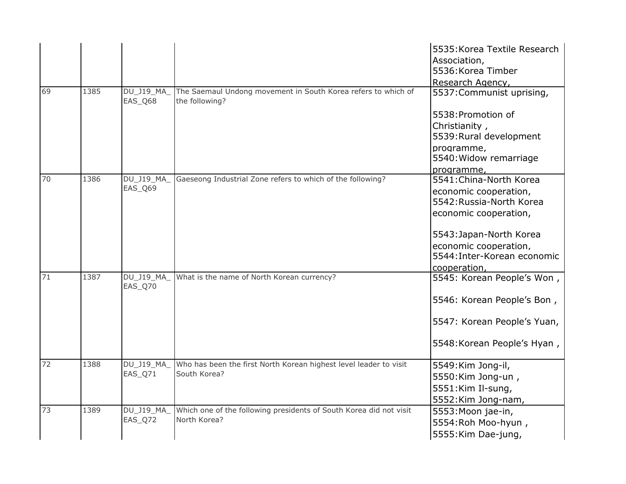|    |      |                       |                                                                                 | 5535: Korea Textile Research<br>Association, |
|----|------|-----------------------|---------------------------------------------------------------------------------|----------------------------------------------|
|    |      |                       |                                                                                 | 5536: Korea Timber                           |
|    |      |                       |                                                                                 | Research Agency,                             |
| 69 | 1385 | DU_J19_MA_<br>EAS Q68 | The Saemaul Undong movement in South Korea refers to which of<br>the following? | 5537: Communist uprising,                    |
|    |      |                       |                                                                                 | 5538: Promotion of                           |
|    |      |                       |                                                                                 | Christianity,                                |
|    |      |                       |                                                                                 | 5539: Rural development                      |
|    |      |                       |                                                                                 | programme,                                   |
|    |      |                       |                                                                                 | 5540: Widow remarriage                       |
|    |      |                       |                                                                                 | programme,                                   |
| 70 | 1386 | DU_J19_MA_<br>EAS Q69 | Gaeseong Industrial Zone refers to which of the following?                      | 5541: China-North Korea                      |
|    |      |                       |                                                                                 | economic cooperation,                        |
|    |      |                       |                                                                                 | 5542: Russia-North Korea                     |
|    |      |                       |                                                                                 | economic cooperation,                        |
|    |      |                       |                                                                                 | 5543: Japan-North Korea                      |
|    |      |                       |                                                                                 | economic cooperation,                        |
|    |      |                       |                                                                                 | 5544: Inter-Korean economic                  |
|    |      |                       |                                                                                 | cooperation,                                 |
| 71 | 1387 | DU_J19_MA_<br>EAS Q70 | What is the name of North Korean currency?                                      | 5545: Korean People's Won,                   |
|    |      |                       |                                                                                 | 5546: Korean People's Bon,                   |
|    |      |                       |                                                                                 | 5547: Korean People's Yuan,                  |
|    |      |                       |                                                                                 | 5548: Korean People's Hyan,                  |
| 72 | 1388 | DU_J19_MA             | Who has been the first North Korean highest level leader to visit               | 5549: Kim Jong-il,                           |
|    |      | EAS_Q71               | South Korea?                                                                    | 5550:Kim Jong-un,                            |
|    |      |                       |                                                                                 | 5551:Kim Il-sung,                            |
|    |      |                       |                                                                                 | 5552: Kim Jong-nam,                          |
| 73 | 1389 | $DU_J19_MA$           | Which one of the following presidents of South Korea did not visit              | 5553: Moon jae-in,                           |
|    |      | EAS_Q72               | North Korea?                                                                    | 5554: Roh Moo-hyun,                          |
|    |      |                       |                                                                                 | 5555: Kim Dae-jung,                          |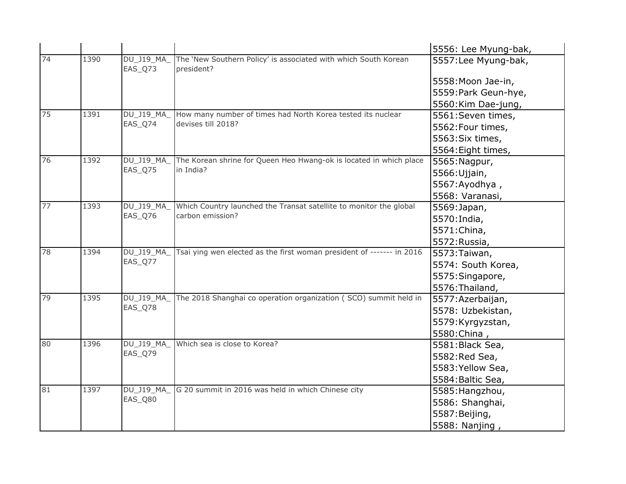|    |      |                       |                                                                               | 5556: Lee Myung-bak, |
|----|------|-----------------------|-------------------------------------------------------------------------------|----------------------|
| 74 | 1390 | DU_J19_MA_<br>EAS_Q73 | The 'New Southern Policy' is associated with which South Korean<br>president? | 5557: Lee Myung-bak, |
|    |      |                       |                                                                               | 5558: Moon Jae-in,   |
|    |      |                       |                                                                               | 5559: Park Geun-hye, |
|    |      |                       |                                                                               | 5560: Kim Dae-jung,  |
| 75 | 1391 | <b>DU J19 MA</b>      | How many number of times had North Korea tested its nuclear                   | 5561:Seven times,    |
|    |      | EAS_Q74               | devises till 2018?                                                            | 5562: Four times,    |
|    |      |                       |                                                                               | 5563: Six times,     |
|    |      |                       |                                                                               | 5564: Eight times,   |
| 76 | 1392 | DU_J19_MA_            | The Korean shrine for Queen Heo Hwang-ok is located in which place            | 5565: Nagpur,        |
|    |      | EAS_Q75               | in India?                                                                     | 5566: Ujjain,        |
|    |      |                       |                                                                               | 5567: Ayodhya,       |
|    |      |                       |                                                                               | 5568: Varanasi,      |
| 77 | 1393 | DU_J19_MA_            | Which Country launched the Transat satellite to monitor the global            | 5569: Japan,         |
|    |      | EAS_Q76               | carbon emission?                                                              | 5570: India,         |
|    |      |                       |                                                                               | 5571: China,         |
|    |      |                       |                                                                               | 5572: Russia,        |
| 78 | 1394 | DU_J19_MA_            | Tsai ying wen elected as the first woman president of ------- in 2016         | 5573: Taiwan,        |
|    |      | EAS_Q77               |                                                                               | 5574: South Korea,   |
|    |      |                       |                                                                               | 5575: Singapore,     |
|    |      |                       |                                                                               | 5576: Thailand,      |
| 79 | 1395 | DU_J19_MA_            | The 2018 Shanghai co operation organization (SCO) summit held in              | 5577: Azerbaijan,    |
|    |      | EAS_Q78               |                                                                               | 5578: Uzbekistan,    |
|    |      |                       |                                                                               | 5579: Kyrgyzstan,    |
|    |      |                       |                                                                               | 5580: China,         |
| 80 | 1396 | <b>DU J19 MA</b>      | Which sea is close to Korea?                                                  | 5581: Black Sea,     |
|    |      | EAS_Q79               |                                                                               | 5582: Red Sea,       |
|    |      |                       |                                                                               | 5583: Yellow Sea,    |
|    |      |                       |                                                                               | 5584: Baltic Sea,    |
| 81 | 1397 | DU_J19_MA_            | G 20 summit in 2016 was held in which Chinese city                            | 5585: Hangzhou,      |
|    |      | EAS_Q80               |                                                                               | 5586: Shanghai,      |
|    |      |                       |                                                                               | 5587: Beijing,       |
|    |      |                       |                                                                               | 5588: Nanjing,       |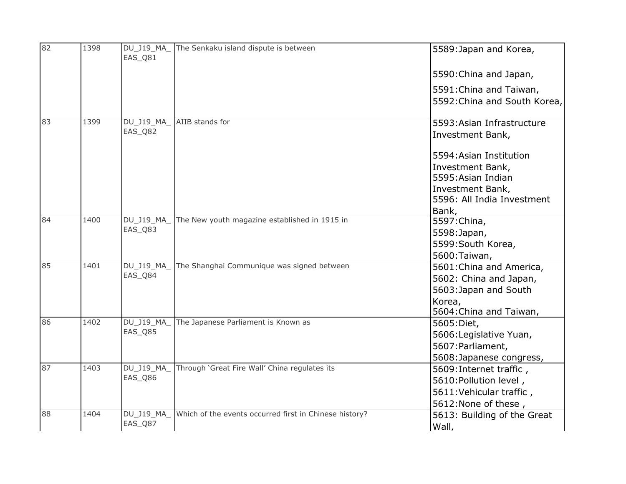| 82 | 1398 | <b>DU J19 MA</b><br>EAS_Q81 | The Senkaku island dispute is between                  | 5589: Japan and Korea,                                                                                                       |
|----|------|-----------------------------|--------------------------------------------------------|------------------------------------------------------------------------------------------------------------------------------|
|    |      |                             |                                                        | 5590: China and Japan,                                                                                                       |
|    |      |                             |                                                        | 5591: China and Taiwan,<br>5592: China and South Korea,                                                                      |
| 83 | 1399 | DU_J19_MA_<br>EAS_Q82       | AIIB stands for                                        | 5593: Asian Infrastructure<br>Investment Bank,                                                                               |
|    |      |                             |                                                        | 5594: Asian Institution<br>Investment Bank,<br>5595: Asian Indian<br>Investment Bank,<br>5596: All India Investment<br>Bank, |
| 84 | 1400 | DU_J19_MA_<br>EAS_Q83       | The New youth magazine established in 1915 in          | 5597: China,<br>5598: Japan,<br>5599: South Korea,<br>5600: Taiwan,                                                          |
| 85 | 1401 | <b>DU J19 MA</b><br>EAS_Q84 | The Shanghai Communique was signed between             | 5601: China and America,<br>5602: China and Japan,<br>5603: Japan and South<br>Korea,<br>5604: China and Taiwan,             |
| 86 | 1402 | DU_J19_MA_<br>EAS_Q85       | The Japanese Parliament is Known as                    | 5605: Diet,<br>5606: Legislative Yuan,<br>5607: Parliament,<br>5608: Japanese congress,                                      |
| 87 | 1403 | DU_J19_MA_<br>EAS_Q86       | Through 'Great Fire Wall' China regulates its          | 5609: Internet traffic,<br>5610: Pollution level,<br>5611: Vehicular traffic,<br>5612: None of these,                        |
| 88 | 1404 | DU_J19_MA_<br>EAS_Q87       | Which of the events occurred first in Chinese history? | 5613: Building of the Great<br>Wall,                                                                                         |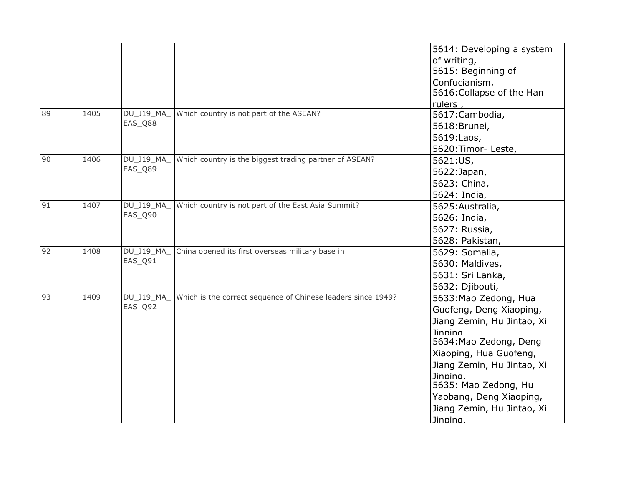|                |      |                       |                                                              | 5614: Developing a system<br>of writing,<br>5615: Beginning of<br>Confucianism,<br>5616: Collapse of the Han<br>rulers,                                                                                                                                                               |
|----------------|------|-----------------------|--------------------------------------------------------------|---------------------------------------------------------------------------------------------------------------------------------------------------------------------------------------------------------------------------------------------------------------------------------------|
| 89             | 1405 | DU J19_MA_<br>EAS_Q88 | Which country is not part of the ASEAN?                      | 5617: Cambodia,<br>5618: Brunei,<br>5619:Laos,<br>5620: Timor-Leste,                                                                                                                                                                                                                  |
| 0 <sup>6</sup> | 1406 | DU_J19_MA_<br>EAS_Q89 | Which country is the biggest trading partner of ASEAN?       | 5621:US,<br>5622: Japan,<br>5623: China,<br>5624: India,                                                                                                                                                                                                                              |
| 91             | 1407 | DU_J19_MA_<br>EAS_Q90 | Which country is not part of the East Asia Summit?           | 5625: Australia,<br>5626: India,<br>5627: Russia,<br>5628: Pakistan,                                                                                                                                                                                                                  |
| 92             | 1408 | DU_J19_MA_<br>EAS_Q91 | China opened its first overseas military base in             | 5629: Somalia,<br>5630: Maldives,<br>5631: Sri Lanka,<br>5632: Djibouti,                                                                                                                                                                                                              |
| 93             | 1409 | DU_J19_MA_<br>EAS_Q92 | Which is the correct sequence of Chinese leaders since 1949? | 5633: Mao Zedong, Hua<br>Guofeng, Deng Xiaoping,<br>Jiang Zemin, Hu Jintao, Xi<br>Jinning.<br>5634: Mao Zedong, Deng<br>Xiaoping, Hua Guofeng,<br>Jiang Zemin, Hu Jintao, Xi<br>Jinnina.<br>5635: Mao Zedong, Hu<br>Yaobang, Deng Xiaoping,<br>Jiang Zemin, Hu Jintao, Xi<br>Jinnina. |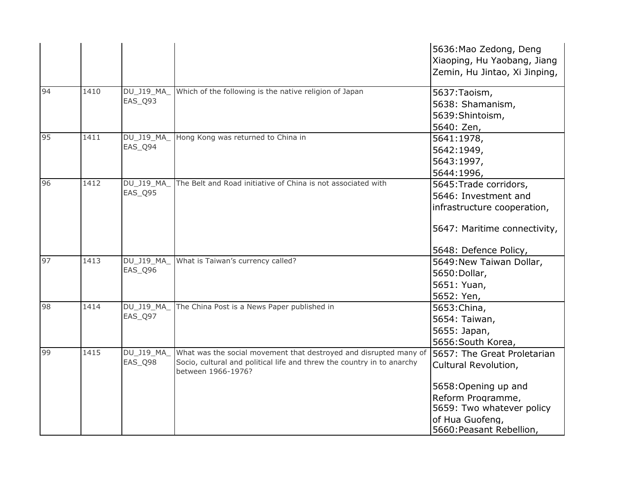|    |      |                              |                                                                                                                                                                   | 5636: Mao Zedong, Deng<br>Xiaoping, Hu Yaobang, Jiang                                                                                                                        |
|----|------|------------------------------|-------------------------------------------------------------------------------------------------------------------------------------------------------------------|------------------------------------------------------------------------------------------------------------------------------------------------------------------------------|
|    |      |                              |                                                                                                                                                                   | Zemin, Hu Jintao, Xi Jinping,                                                                                                                                                |
| 94 | 1410 | DU_J19_MA_<br>EAS_Q93        | Which of the following is the native religion of Japan                                                                                                            | 5637: Taoism,<br>5638: Shamanism,<br>5639: Shintoism,<br>5640: Zen,                                                                                                          |
| 95 | 1411 | DU_J19_MA<br>EAS_Q94         | Hong Kong was returned to China in                                                                                                                                | 5641:1978,<br>5642:1949,<br>5643:1997,<br>5644:1996,                                                                                                                         |
| 96 | 1412 | DU_J19_MA_<br><b>EAS_Q95</b> | The Belt and Road initiative of China is not associated with                                                                                                      | 5645: Trade corridors,<br>5646: Investment and<br>infrastructure cooperation,<br>5647: Maritime connectivity,                                                                |
| 97 | 1413 | DU_J19_MA_<br>EAS_Q96        | What is Taiwan's currency called?                                                                                                                                 | 5648: Defence Policy,<br>5649: New Taiwan Dollar,<br>5650: Dollar,<br>5651: Yuan,<br>5652: Yen,                                                                              |
| 98 | 1414 | DU_J19_MA_<br>EAS_Q97        | The China Post is a News Paper published in                                                                                                                       | 5653: China,<br>5654: Taiwan,<br>5655: Japan,<br>5656: South Korea,                                                                                                          |
| 99 | 1415 | DU_J19_MA_<br>EAS_Q98        | What was the social movement that destroyed and disrupted many of<br>Socio, cultural and political life and threw the country in to anarchy<br>between 1966-1976? | 5657: The Great Proletarian<br>Cultural Revolution,<br>5658: Opening up and<br>Reform Programme,<br>5659: Two whatever policy<br>of Hua Guofeng,<br>5660: Peasant Rebellion, |